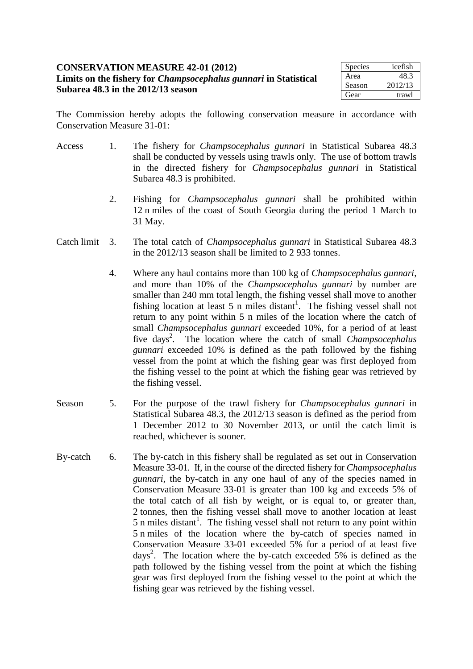## **CONSERVATION MEASURE 42-01 (2012) Limits on the fishery for** *Champsocephalus gunnari* **in Statistical Subarea 48.3 in the 2012/13 season**

| <b>Species</b> | icefish |
|----------------|---------|
| Area           | 48.3    |
| Season         | 2012/13 |
| Gear           | trawl   |

The Commission hereby adopts the following conservation measure in accordance with Conservation Measure 31-01:

- Access 1. The fishery for *Champsocephalus gunnari* in Statistical Subarea 48.3 shall be conducted by vessels using trawls only. The use of bottom trawls in the directed fishery for *Champsocephalus gunnari* in Statistical Subarea 48.3 is prohibited.
	- 2. Fishing for *Champsocephalus gunnari* shall be prohibited within 12 n miles of the coast of South Georgia during the period 1 March to 31 May.
- Catch limit 3. The total catch of *Champsocephalus gunnari* in Statistical Subarea 48.3 in the 2012/13 season shall be limited to 2 933 tonnes.
	- 4. Where any haul contains more than 100 kg of *Champsocephalus gunnari*, and more than 10% of the *Champsocephalus gunnari* by number are smaller than 240 mm total length, the fishing vessel shall move to another fishing location at least 5 n miles distant<sup>1</sup>. The fishing vessel shall not return to any point within 5 n miles of the location where the catch of small *Champsocephalus gunnari* exceeded 10%, for a period of at least five days<sup>2</sup>. The location where the catch of small *Champsocephalus gunnari* exceeded 10% is defined as the path followed by the fishing vessel from the point at which the fishing gear was first deployed from the fishing vessel to the point at which the fishing gear was retrieved by the fishing vessel.
- Season 5. For the purpose of the trawl fishery for *Champsocephalus gunnari* in Statistical Subarea 48.3, the 2012/13 season is defined as the period from 1 December 2012 to 30 November 2013, or until the catch limit is reached, whichever is sooner.
- By-catch 6. The by-catch in this fishery shall be regulated as set out in Conservation Measure 33-01. If, in the course of the directed fishery for *Champsocephalus gunnari*, the by-catch in any one haul of any of the species named in Conservation Measure 33-01 is greater than 100 kg and exceeds 5% of the total catch of all fish by weight, or is equal to, or greater than, 2 tonnes, then the fishing vessel shall move to another location at least  $5$  n miles distant<sup>1</sup>. The fishing vessel shall not return to any point within 5 n miles of the location where the by-catch of species named in Conservation Measure 33-01 exceeded 5% for a period of at least five days<sup>2</sup>. The location where the by-catch exceeded 5% is defined as the path followed by the fishing vessel from the point at which the fishing gear was first deployed from the fishing vessel to the point at which the fishing gear was retrieved by the fishing vessel.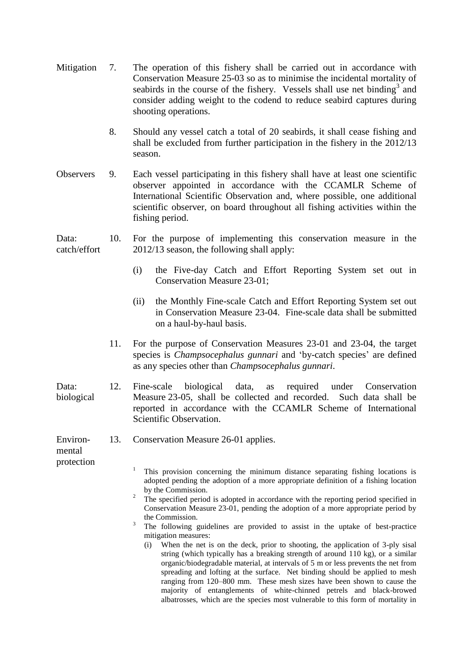| Mitigation                       | 7.                                                                                              | The operation of this fishery shall be carried out in accordance with<br>Conservation Measure 25-03 so as to minimise the incidental mortality of<br>seabirds in the course of the fishery. Vessels shall use net binding <sup>3</sup> and<br>consider adding weight to the codend to reduce seabird captures during<br>shooting operations.                                                                                                                                                                                                                                                                                                                                                                                                                                                                                                                                                                                                                                                                                      |
|----------------------------------|-------------------------------------------------------------------------------------------------|-----------------------------------------------------------------------------------------------------------------------------------------------------------------------------------------------------------------------------------------------------------------------------------------------------------------------------------------------------------------------------------------------------------------------------------------------------------------------------------------------------------------------------------------------------------------------------------------------------------------------------------------------------------------------------------------------------------------------------------------------------------------------------------------------------------------------------------------------------------------------------------------------------------------------------------------------------------------------------------------------------------------------------------|
|                                  | 8.                                                                                              | Should any vessel catch a total of 20 seabirds, it shall cease fishing and<br>shall be excluded from further participation in the fishery in the 2012/13<br>season.                                                                                                                                                                                                                                                                                                                                                                                                                                                                                                                                                                                                                                                                                                                                                                                                                                                               |
| <b>Observers</b>                 | 9.                                                                                              | Each vessel participating in this fishery shall have at least one scientific<br>observer appointed in accordance with the CCAMLR Scheme of<br>International Scientific Observation and, where possible, one additional<br>scientific observer, on board throughout all fishing activities within the<br>fishing period.                                                                                                                                                                                                                                                                                                                                                                                                                                                                                                                                                                                                                                                                                                           |
| Data:<br>catch/effort            | 10.                                                                                             | For the purpose of implementing this conservation measure in the<br>2012/13 season, the following shall apply:                                                                                                                                                                                                                                                                                                                                                                                                                                                                                                                                                                                                                                                                                                                                                                                                                                                                                                                    |
| 11.                              | the Five-day Catch and Effort Reporting System set out in<br>(i)<br>Conservation Measure 23-01; |                                                                                                                                                                                                                                                                                                                                                                                                                                                                                                                                                                                                                                                                                                                                                                                                                                                                                                                                                                                                                                   |
|                                  |                                                                                                 | the Monthly Fine-scale Catch and Effort Reporting System set out<br>(ii)<br>in Conservation Measure 23-04. Fine-scale data shall be submitted<br>on a haul-by-haul basis.                                                                                                                                                                                                                                                                                                                                                                                                                                                                                                                                                                                                                                                                                                                                                                                                                                                         |
|                                  |                                                                                                 | For the purpose of Conservation Measures 23-01 and 23-04, the target<br>species is <i>Champsocephalus gunnari</i> and 'by-catch species' are defined<br>as any species other than <i>Champsocephalus gunnari</i> .                                                                                                                                                                                                                                                                                                                                                                                                                                                                                                                                                                                                                                                                                                                                                                                                                |
| Data:<br>biological              | 12.                                                                                             | biological<br>Fine-scale<br>data,<br>required<br>under<br>Conservation<br>as<br>Measure 23-05, shall be collected and recorded.<br>Such data shall be<br>reported in accordance with the CCAMLR Scheme of International<br>Scientific Observation.                                                                                                                                                                                                                                                                                                                                                                                                                                                                                                                                                                                                                                                                                                                                                                                |
| Environ-<br>mental<br>protection | 13.                                                                                             | Conservation Measure 26-01 applies.                                                                                                                                                                                                                                                                                                                                                                                                                                                                                                                                                                                                                                                                                                                                                                                                                                                                                                                                                                                               |
|                                  |                                                                                                 | 1<br>This provision concerning the minimum distance separating fishing locations is<br>adopted pending the adoption of a more appropriate definition of a fishing location<br>by the Commission.<br>$\overline{c}$<br>The specified period is adopted in accordance with the reporting period specified in<br>Conservation Measure 23-01, pending the adoption of a more appropriate period by<br>the Commission.<br>3<br>The following guidelines are provided to assist in the uptake of best-practice<br>mitigation measures:<br>When the net is on the deck, prior to shooting, the application of 3-ply sisal<br>(i)<br>string (which typically has a breaking strength of around 110 kg), or a similar<br>organic/biodegradable material, at intervals of 5 m or less prevents the net from<br>spreading and lofting at the surface. Net binding should be applied to mesh<br>ranging from 120–800 mm. These mesh sizes have been shown to cause the<br>majority of entanglements of white-chinned petrels and black-browed |

albatrosses, which are the species most vulnerable to this form of mortality in